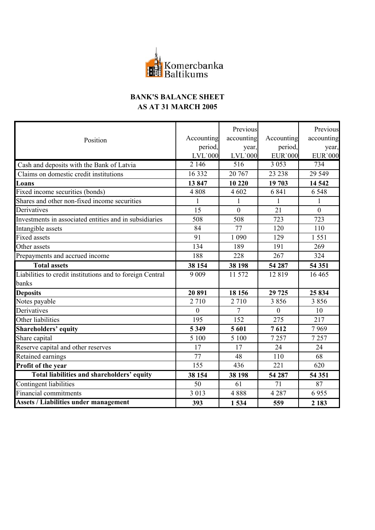

## **BANK'S BALANCE SHEET AS AT 31 MARCH 2005**

|                                                           | Accounting     | Previous<br>accounting | Accounting      | Previous<br>accounting |
|-----------------------------------------------------------|----------------|------------------------|-----------------|------------------------|
| Position                                                  | period,        | year,                  | period,         | year,                  |
|                                                           | <b>LVL'000</b> | $LVL$ `000             | <b>EUR</b> '000 | <b>EUR</b> '000        |
| Cash and deposits with the Bank of Latvia                 | 2 146          | $\overline{516}$       | 3 0 5 3         | 734                    |
| Claims on domestic credit institutions                    | 16 3 32        | 20 767                 | 23 2 38         | 29 5 49                |
| Loans                                                     | 13847          | 10 220                 | 19 703          | 14 5 42                |
| Fixed income securities (bonds)                           | 4808           | 4 602                  | 6 8 4 1         | 6 5 4 8                |
| Shares and other non-fixed income securities              | $\mathbf{1}$   | $\mathbf{1}$           | $\mathbf{1}$    | $\mathbf{1}$           |
| Derivatives                                               | 15             | $\overline{0}$         | 21              | $\mathbf{0}$           |
| Investments in associated entities and in subsidiaries    | 508            | 508                    | 723             | 723                    |
| Intangible assets                                         | 84             | 77                     | 120             | 110                    |
| <b>Fixed assets</b>                                       | 91             | 1 0 9 0                | 129             | 1551                   |
| Other assets                                              | 134            | 189                    | 191             | 269                    |
| Prepayments and accrued income                            | 188            | 228                    | 267             | 324                    |
| <b>Total assets</b>                                       | 38 154         | 38 198                 | 54 287          | 54 351                 |
| Liabilities to credit institutions and to foreign Central | 9 0 0 9        | 11 572                 | 12819           | 16 4 65                |
| banks                                                     |                |                        |                 |                        |
| <b>Deposits</b>                                           | 20891          | 18 15 6                | 29 7 25         | 25 834                 |
| Notes payable                                             | 2710           | 2 7 1 0                | 3856            | 3856                   |
| Derivatives                                               | $\Omega$       | 7                      | $\theta$        | 10                     |
| Other liabilities                                         | 195            | 152                    | 275             | 217                    |
| <b>Shareholders' equity</b>                               | 5 3 4 9        | 5 601                  | 7612            | 7969                   |
| Share capital                                             | 5 100          | 5 100                  | 7257            | 7257                   |
| Reserve capital and other reserves                        | 17             | 17                     | 24              | 24                     |
| Retained earnings                                         | 77             | 48                     | 110             | 68                     |
| Profit of the year                                        | 155            | 436                    | 221             | 620                    |
| Total liabilities and shareholders' equity                | 38 154         | 38 198                 | 54 287          | 54 351                 |
| Contingent liabilities                                    | 50             | 61                     | 71              | 87                     |
| <b>Financial commitments</b>                              | 3 0 1 3        | 4888                   | 4 2 8 7         | 6955                   |
| <b>Assets / Liabilities under management</b>              | 393            | 1534                   | 559             | 2 1 8 3                |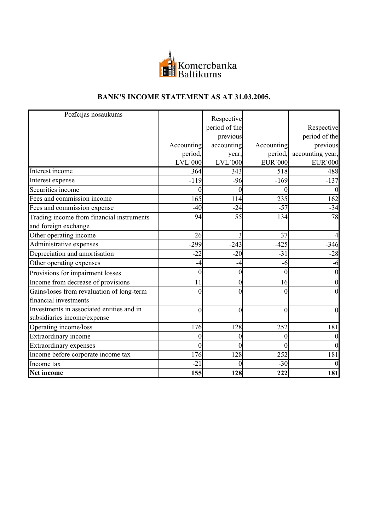

## **BANK'S INCOME STATEMENT AS AT 31.03.2005.**

| Pozīcijas nosaukums                       |                  | Respective    |                  |                  |
|-------------------------------------------|------------------|---------------|------------------|------------------|
|                                           |                  | period of the |                  | Respective       |
|                                           |                  | previous      |                  | period of the    |
|                                           | Accounting       | accounting    | Accounting       | previous         |
|                                           | period,          | year,         | period,          | accounting year, |
|                                           | $LVL$ 000        | $LVL$ `000    | <b>EUR</b> '000  | <b>EUR</b> '000  |
| Interest income                           | 364              | 343           | 518              | 488              |
| Interest expense                          | $-119$           | $-96$         | $-169$           | $-137$           |
| Securities income                         | $\overline{0}$   | $\theta$      | 0                | $\overline{0}$   |
| Fees and commission income                | 165              | 114           | 235              | 162              |
| Fees and commission expense               | $-40$            | $-24$         | $-57$            | $-34$            |
| Trading income from financial instruments | 94               | 55            | 134              | 78               |
| and foreign exchange                      |                  |               |                  |                  |
| Other operating income                    | 26               |               | 37               |                  |
| Administrative expenses                   | $-299$           | $-243$        | $-425$           | $-346$           |
| Depreciation and amortisation             | $-22$            | $-20$         | $-31$            | $-28$            |
| Other operating expenses                  | $-4$             | -4            | -6               | -6               |
| Provisions for impairment losses          | $\overline{0}$   | 0             | $\theta$         | $\overline{0}$   |
| Income from decrease of provisions        | 11               | 0             | 16               | $\mathbf{0}$     |
| Gains/loses from revaluation of long-term | $\theta$         | 0             | $\theta$         | $\overline{0}$   |
| financial investments                     |                  |               |                  |                  |
| Investments in associated entities and in | $\boldsymbol{0}$ | $\theta$      | $\mathbf{0}$     | $\overline{0}$   |
| subsidiaries income/expense               |                  |               |                  |                  |
| Operating income/loss                     | 176              | 128           | 252              | 181              |
| Extraordinary income                      | $\overline{0}$   | 0             | $\theta$         | 0                |
| <b>Extraordinary expenses</b>             | $\boldsymbol{0}$ | $\theta$      | $\boldsymbol{0}$ | $\mathbf{0}$     |
| Income before corporate income tax        | 176              | 128           | 252              | 181              |
| Income tax                                | $-21$            | $\theta$      | $-30$            | $\overline{0}$   |
| Net income                                | 155              | 128           | 222              | 181              |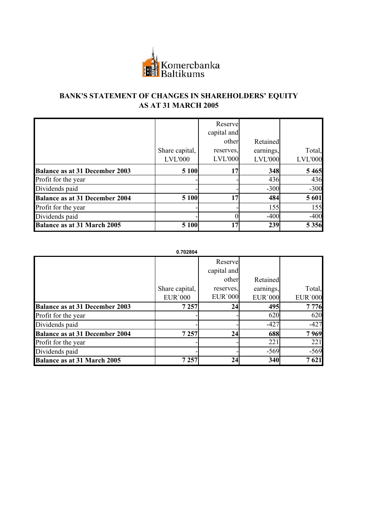

## **BANK'S STATEMENT OF CHANGES IN SHAREHOLDERS' EQUITY AS AT 31 MARCH 2005**

|                                       |                | Reserve<br>capital and |                |                |
|---------------------------------------|----------------|------------------------|----------------|----------------|
|                                       |                | other                  | Retained       |                |
|                                       | Share capital, | reserves.              | earnings,      | Total,         |
|                                       | <b>LVL'000</b> | <b>LVL'000</b>         | <b>LVL'000</b> | <b>LVL'000</b> |
| <b>Balance as at 31 December 2003</b> | 5 1 0 0        | 17                     | 348            | 5 4 6 5        |
| Profit for the year                   |                |                        | 436            | 436            |
| Dividends paid                        |                |                        | $-300$         | $-300$         |
| <b>Balance as at 31 December 2004</b> | 5 100          | 17                     | 484            | 5 601          |
| Profit for the year                   |                |                        | 155            | 155            |
| Dividends paid                        |                |                        | $-400$         | $-400$         |
| <b>Balance as at 31 March 2005</b>    | 5 100          | 17                     | 239            | 5 3 5 6        |

**0.702804**

|                                       |                | Reserve         |                 |                 |
|---------------------------------------|----------------|-----------------|-----------------|-----------------|
|                                       |                | capital and     |                 |                 |
|                                       |                | other           | Retained        |                 |
|                                       | Share capital, | reserves.       | earnings,       | Total,          |
|                                       | <b>EUR'000</b> | <b>EUR</b> '000 | <b>EUR</b> '000 | <b>EUR</b> '000 |
| <b>Balance as at 31 December 2003</b> | 7 2 5 7        | 24              | 495             | 7776            |
| Profit for the year                   |                |                 | 620             | 620             |
| Dividends paid                        |                |                 | $-427$          | $-427$          |
| <b>Balance as at 31 December 2004</b> | 7 2 5 7        | 24              | 688             | 7969            |
| Profit for the year                   |                |                 | 221             | 221             |
| Dividends paid                        |                |                 | $-569$          | $-569$          |
| <b>Balance as at 31 March 2005</b>    | 7 2 5 7        | 24              | 340             | 7621            |